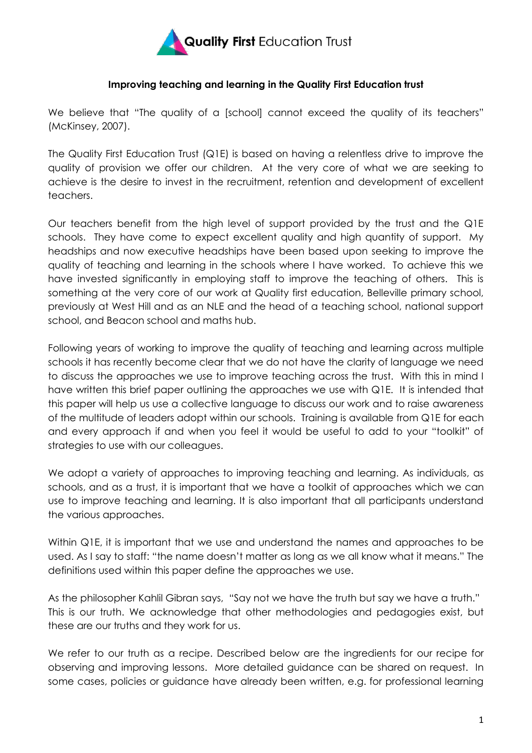

### **Improving teaching and learning in the Quality First Education trust**

We believe that "The quality of a [school] cannot exceed the quality of its teachers" (McKinsey, 2007).

The Quality First Education Trust (Q1E) is based on having a relentless drive to improve the quality of provision we offer our children. At the very core of what we are seeking to achieve is the desire to invest in the recruitment, retention and development of excellent teachers.

Our teachers benefit from the high level of support provided by the trust and the Q1E schools. They have come to expect excellent quality and high quantity of support. My headships and now executive headships have been based upon seeking to improve the quality of teaching and learning in the schools where I have worked. To achieve this we have invested significantly in employing staff to improve the teaching of others. This is something at the very core of our work at Quality first education, Belleville primary school, previously at West Hill and as an NLE and the head of a teaching school, national support school, and Beacon school and maths hub.

Following years of working to improve the quality of teaching and learning across multiple schools it has recently become clear that we do not have the clarity of language we need to discuss the approaches we use to improve teaching across the trust. With this in mind I have written this brief paper outlining the approaches we use with Q1E. It is intended that this paper will help us use a collective language to discuss our work and to raise awareness of the multitude of leaders adopt within our schools. Training is available from Q1E for each and every approach if and when you feel it would be useful to add to your "toolkit" of strategies to use with our colleagues.

We adopt a variety of approaches to improving teaching and learning. As individuals, as schools, and as a trust, it is important that we have a toolkit of approaches which we can use to improve teaching and learning. It is also important that all participants understand the various approaches.

Within Q1E, it is important that we use and understand the names and approaches to be used. As I say to staff: "the name doesn't matter as long as we all know what it means." The definitions used within this paper define the approaches we use.

As the philosopher Kahlil Gibran says, "Say not we have the truth but say we have a truth." This is our truth. We acknowledge that other methodologies and pedagogies exist, but these are our truths and they work for us.

We refer to our truth as a recipe. Described below are the ingredients for our recipe for observing and improving lessons. More detailed guidance can be shared on request. In some cases, policies or guidance have already been written, e.g. for professional learning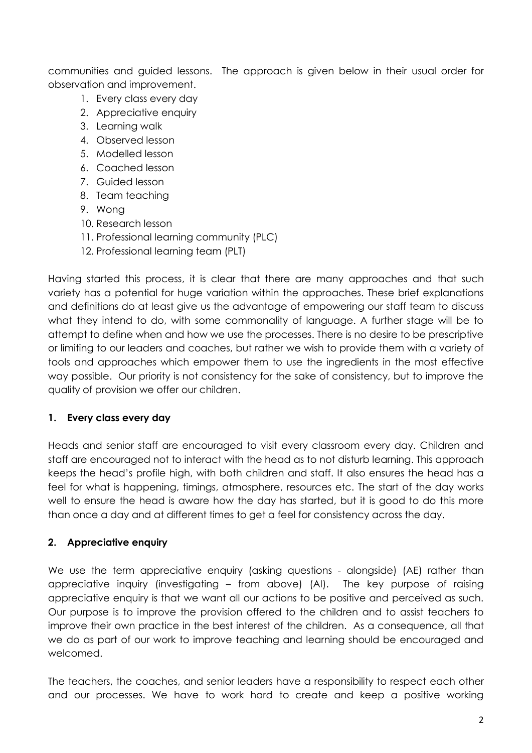communities and guided lessons. The approach is given below in their usual order for observation and improvement.

- 1. Every class every day
- 2. Appreciative enquiry
- 3. Learning walk
- 4. Observed lesson
- 5. Modelled lesson
- 6. Coached lesson
- 7. Guided lesson
- 8. Team teaching
- 9. Wong
- 10. Research lesson
- 11. Professional learning community (PLC)
- 12. Professional learning team (PLT)

Having started this process, it is clear that there are many approaches and that such variety has a potential for huge variation within the approaches. These brief explanations and definitions do at least give us the advantage of empowering our staff team to discuss what they intend to do, with some commonality of language. A further stage will be to attempt to define when and how we use the processes. There is no desire to be prescriptive or limiting to our leaders and coaches, but rather we wish to provide them with a variety of tools and approaches which empower them to use the ingredients in the most effective way possible. Our priority is not consistency for the sake of consistency, but to improve the quality of provision we offer our children.

### **1. Every class every day**

Heads and senior staff are encouraged to visit every classroom every day. Children and staff are encouraged not to interact with the head as to not disturb learning. This approach keeps the head's profile high, with both children and staff. It also ensures the head has a feel for what is happening, timings, atmosphere, resources etc. The start of the day works well to ensure the head is aware how the day has started, but it is good to do this more than once a day and at different times to get a feel for consistency across the day.

### **2. Appreciative enquiry**

We use the term appreciative enquiry (asking questions - alongside) (AE) rather than appreciative inquiry (investigating – from above) (AI). The key purpose of raising appreciative enquiry is that we want all our actions to be positive and perceived as such. Our purpose is to improve the provision offered to the children and to assist teachers to improve their own practice in the best interest of the children. As a consequence, all that we do as part of our work to improve teaching and learning should be encouraged and welcomed.

The teachers, the coaches, and senior leaders have a responsibility to respect each other and our processes. We have to work hard to create and keep a positive working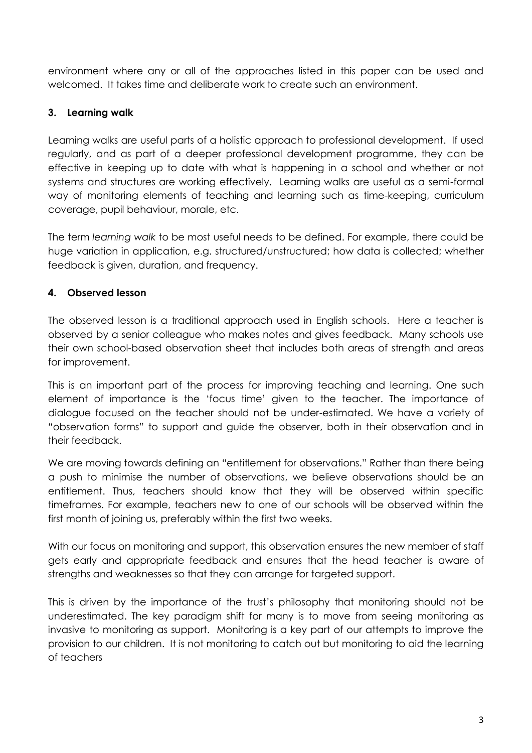environment where any or all of the approaches listed in this paper can be used and welcomed. It takes time and deliberate work to create such an environment.

# **3. Learning walk**

Learning walks are useful parts of a holistic approach to professional development. If used regularly, and as part of a deeper professional development programme, they can be effective in keeping up to date with what is happening in a school and whether or not systems and structures are working effectively. Learning walks are useful as a semi-formal way of monitoring elements of teaching and learning such as time-keeping, curriculum coverage, pupil behaviour, morale, etc.

The term *learning walk* to be most useful needs to be defined. For example, there could be huge variation in application, e.g. structured/unstructured; how data is collected; whether feedback is given, duration, and frequency.

# **4. Observed lesson**

The observed lesson is a traditional approach used in English schools. Here a teacher is observed by a senior colleague who makes notes and gives feedback. Many schools use their own school-based observation sheet that includes both areas of strength and areas for improvement.

This is an important part of the process for improving teaching and learning. One such element of importance is the 'focus time' given to the teacher. The importance of dialogue focused on the teacher should not be under-estimated. We have a variety of "observation forms" to support and guide the observer, both in their observation and in their feedback.

We are moving towards defining an "entitlement for observations." Rather than there being a push to minimise the number of observations, we believe observations should be an entitlement. Thus, teachers should know that they will be observed within specific timeframes. For example, teachers new to one of our schools will be observed within the first month of joining us, preferably within the first two weeks.

With our focus on monitoring and support, this observation ensures the new member of staff gets early and appropriate feedback and ensures that the head teacher is aware of strengths and weaknesses so that they can arrange for targeted support.

This is driven by the importance of the trust's philosophy that monitoring should not be underestimated. The key paradigm shift for many is to move from seeing monitoring as invasive to monitoring as support. Monitoring is a key part of our attempts to improve the provision to our children. It is not monitoring to catch out but monitoring to aid the learning of teachers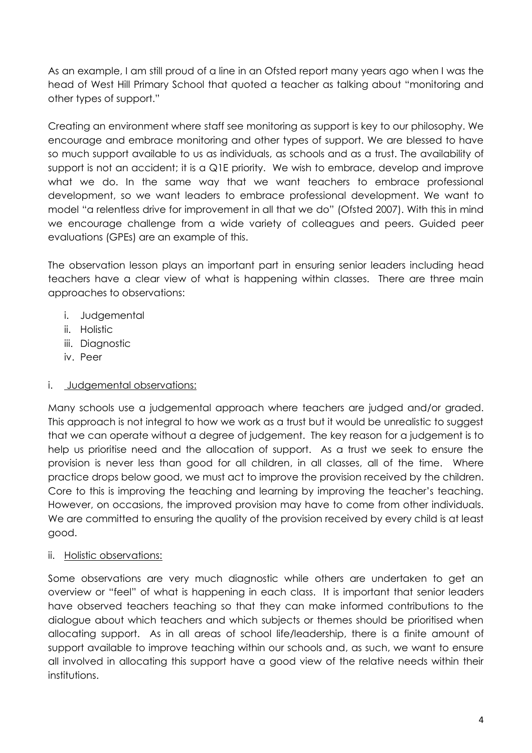As an example, I am still proud of a line in an Ofsted report many years ago when I was the head of West Hill Primary School that quoted a teacher as talking about "monitoring and other types of support."

Creating an environment where staff see monitoring as support is key to our philosophy. We encourage and embrace monitoring and other types of support. We are blessed to have so much support available to us as individuals, as schools and as a trust. The availability of support is not an accident; it is a Q1E priority. We wish to embrace, develop and improve what we do. In the same way that we want teachers to embrace professional development, so we want leaders to embrace professional development. We want to model "a relentless drive for improvement in all that we do" (Ofsted 2007). With this in mind we encourage challenge from a wide variety of colleagues and peers. Guided peer evaluations (GPEs) are an example of this.

The observation lesson plays an important part in ensuring senior leaders including head teachers have a clear view of what is happening within classes. There are three main approaches to observations:

- i. Judgemental
- ii. Holistic
- iii. Diagnostic
- iv. Peer

# i. Judgemental observations:

Many schools use a judgemental approach where teachers are judged and/or graded. This approach is not integral to how we work as a trust but it would be unrealistic to suggest that we can operate without a degree of judgement. The key reason for a judgement is to help us prioritise need and the allocation of support. As a trust we seek to ensure the provision is never less than good for all children, in all classes, all of the time. Where practice drops below good, we must act to improve the provision received by the children. Core to this is improving the teaching and learning by improving the teacher's teaching. However, on occasions, the improved provision may have to come from other individuals. We are committed to ensuring the quality of the provision received by every child is at least good.

# ii. Holistic observations:

Some observations are very much diagnostic while others are undertaken to get an overview or "feel" of what is happening in each class. It is important that senior leaders have observed teachers teaching so that they can make informed contributions to the dialogue about which teachers and which subjects or themes should be prioritised when allocating support. As in all areas of school life/leadership, there is a finite amount of support available to improve teaching within our schools and, as such, we want to ensure all involved in allocating this support have a good view of the relative needs within their institutions.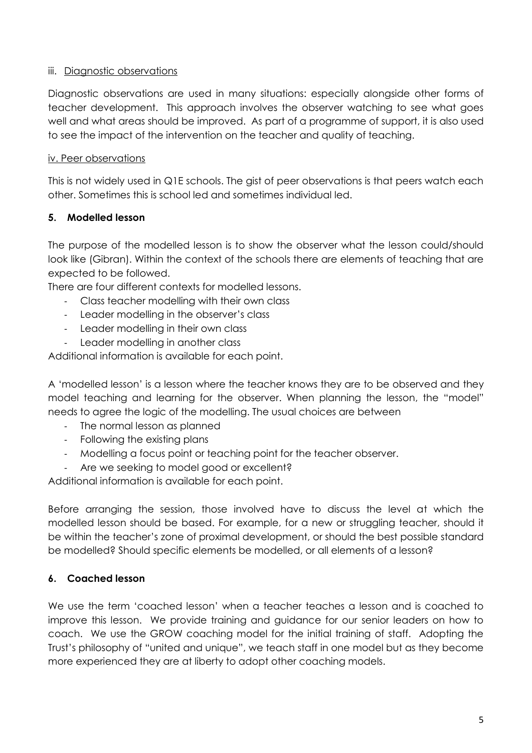## iii. Diagnostic observations

Diagnostic observations are used in many situations: especially alongside other forms of teacher development. This approach involves the observer watching to see what goes well and what areas should be improved. As part of a programme of support, it is also used to see the impact of the intervention on the teacher and quality of teaching.

## iv. Peer observations

This is not widely used in Q1E schools. The gist of peer observations is that peers watch each other. Sometimes this is school led and sometimes individual led.

# **5. Modelled lesson**

The purpose of the modelled lesson is to show the observer what the lesson could/should look like (Gibran). Within the context of the schools there are elements of teaching that are expected to be followed.

There are four different contexts for modelled lessons.

- Class teacher modelling with their own class
- Leader modelling in the observer's class
- Leader modelling in their own class
- Leader modelling in another class

Additional information is available for each point.

A 'modelled lesson' is a lesson where the teacher knows they are to be observed and they model teaching and learning for the observer. When planning the lesson, the "model" needs to agree the logic of the modelling. The usual choices are between

- The normal lesson as planned
- Following the existing plans
- Modelling a focus point or teaching point for the teacher observer.
- Are we seeking to model good or excellent?

Additional information is available for each point.

Before arranging the session, those involved have to discuss the level at which the modelled lesson should be based. For example, for a new or struggling teacher, should it be within the teacher's zone of proximal development, or should the best possible standard be modelled? Should specific elements be modelled, or all elements of a lesson?

# **6. Coached lesson**

We use the term 'coached lesson' when a teacher teaches a lesson and is coached to improve this lesson. We provide training and guidance for our senior leaders on how to coach. We use the GROW coaching model for the initial training of staff. Adopting the Trust's philosophy of "united and unique", we teach staff in one model but as they become more experienced they are at liberty to adopt other coaching models.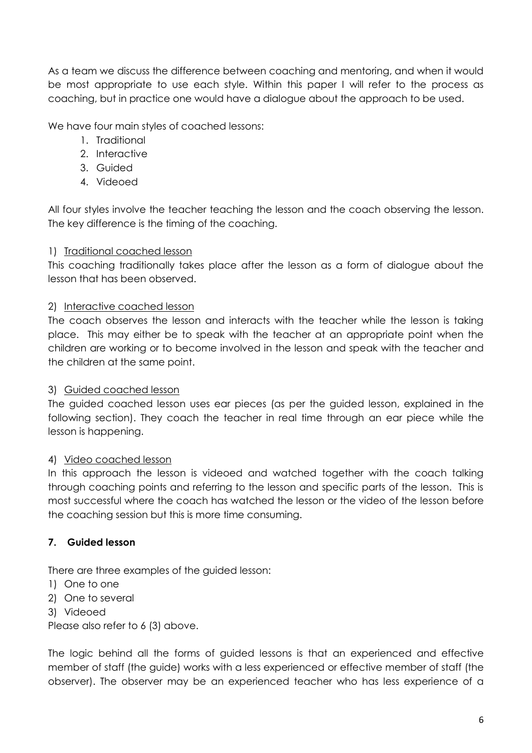As a team we discuss the difference between coaching and mentoring, and when it would be most appropriate to use each style. Within this paper I will refer to the process as coaching, but in practice one would have a dialogue about the approach to be used.

We have four main styles of coached lessons:

- 1. Traditional
- 2. Interactive
- 3. Guided
- 4. Videoed

All four styles involve the teacher teaching the lesson and the coach observing the lesson. The key difference is the timing of the coaching.

# 1) Traditional coached lesson

This coaching traditionally takes place after the lesson as a form of dialogue about the lesson that has been observed.

## 2) Interactive coached lesson

The coach observes the lesson and interacts with the teacher while the lesson is taking place. This may either be to speak with the teacher at an appropriate point when the children are working or to become involved in the lesson and speak with the teacher and the children at the same point.

# 3) Guided coached lesson

The guided coached lesson uses ear pieces (as per the guided lesson, explained in the following section). They coach the teacher in real time through an ear piece while the lesson is happening.

# 4) Video coached lesson

In this approach the lesson is videoed and watched together with the coach talking through coaching points and referring to the lesson and specific parts of the lesson. This is most successful where the coach has watched the lesson or the video of the lesson before the coaching session but this is more time consuming.

# **7. Guided lesson**

There are three examples of the guided lesson:

- 1) One to one
- 2) One to several
- 3) Videoed

Please also refer to 6 (3) above.

The logic behind all the forms of guided lessons is that an experienced and effective member of staff (the guide) works with a less experienced or effective member of staff (the observer). The observer may be an experienced teacher who has less experience of a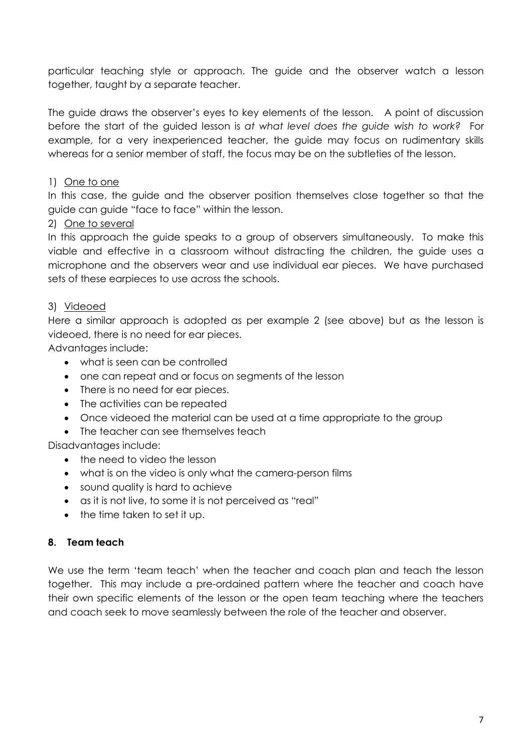particular teaching style or approach. The guide and the observer watch a lesson together, taught by a separate teacher.

The guide draws the observer's eyes to key elements of the lesson. A point of discussion before the start of the guided lesson is *at what level does the guide wish to work?* For example, for a very inexperienced teacher, the guide may focus on rudimentary skills whereas for a senior member of staff, the focus may be on the subtleties of the lesson.

# 1) One to one

In this case, the guide and the observer position themselves close together so that the guide can guide "face to face" within the lesson.

## 2) One to several

In this approach the guide speaks to a group of observers simultaneously. To make this viable and effective in a classroom without distracting the children, the guide uses a microphone and the observers wear and use individual ear pieces. We have purchased sets of these earpieces to use across the schools.

### 3) Videoed

Here a similar approach is adopted as per example 2 (see above) but as the lesson is videoed, there is no need for ear pieces.

Advantages include:

- what is seen can be controlled
- one can repeat and or focus on segments of the lesson
- There is no need for ear pieces.
- The activities can be repeated
- Once videoed the material can be used at a time appropriate to the group
- The teacher can see themselves teach

Disadvantages include:

- the need to video the lesson
- what is on the video is only what the camera-person films
- sound quality is hard to achieve
- as it is not live, to some it is not perceived as "real"
- the time taken to set it up.

# **8. Team teach**

We use the term 'team teach' when the teacher and coach plan and teach the lesson together. This may include a pre-ordained pattern where the teacher and coach have their own specific elements of the lesson or the open team teaching where the teachers and coach seek to move seamlessly between the role of the teacher and observer.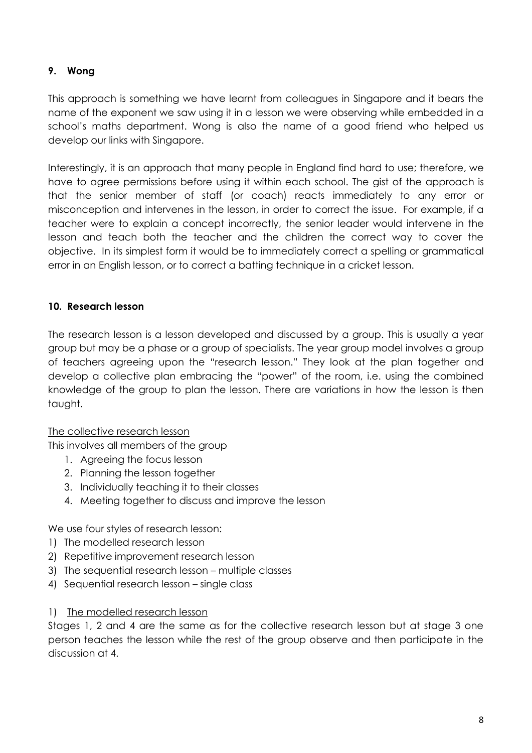# **9. Wong**

This approach is something we have learnt from colleagues in Singapore and it bears the name of the exponent we saw using it in a lesson we were observing while embedded in a school's maths department. Wong is also the name of a good friend who helped us develop our links with Singapore.

Interestingly, it is an approach that many people in England find hard to use; therefore, we have to agree permissions before using it within each school. The gist of the approach is that the senior member of staff (or coach) reacts immediately to any error or misconception and intervenes in the lesson, in order to correct the issue. For example, if a teacher were to explain a concept incorrectly, the senior leader would intervene in the lesson and teach both the teacher and the children the correct way to cover the objective. In its simplest form it would be to immediately correct a spelling or grammatical error in an English lesson, or to correct a batting technique in a cricket lesson.

## **10. Research lesson**

The research lesson is a lesson developed and discussed by a group. This is usually a year group but may be a phase or a group of specialists. The year group model involves a group of teachers agreeing upon the "research lesson." They look at the plan together and develop a collective plan embracing the "power" of the room, i.e. using the combined knowledge of the group to plan the lesson. There are variations in how the lesson is then taught.

### The collective research lesson

This involves all members of the group

- 1. Agreeing the focus lesson
- 2. Planning the lesson together
- 3. Individually teaching it to their classes
- 4. Meeting together to discuss and improve the lesson

We use four styles of research lesson:

- 1) The modelled research lesson
- 2) Repetitive improvement research lesson
- 3) The sequential research lesson multiple classes
- 4) Sequential research lesson single class

### 1) The modelled research lesson

Stages 1, 2 and 4 are the same as for the collective research lesson but at stage 3 one person teaches the lesson while the rest of the group observe and then participate in the discussion at 4.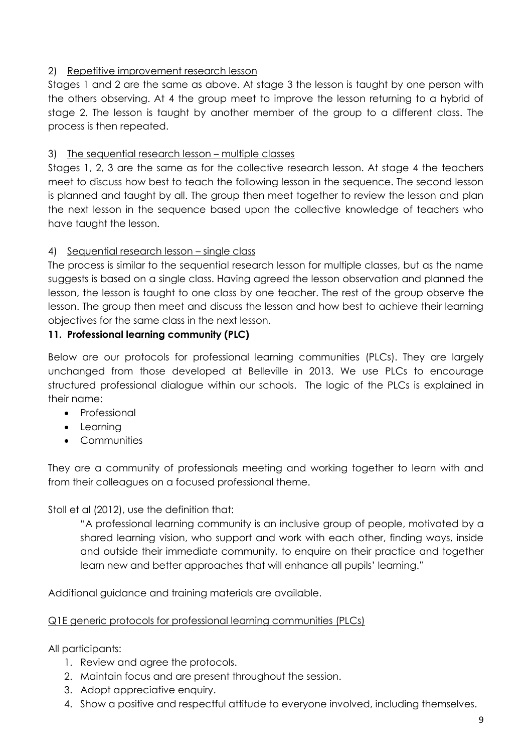# 2) Repetitive improvement research lesson

Stages 1 and 2 are the same as above. At stage 3 the lesson is taught by one person with the others observing. At 4 the group meet to improve the lesson returning to a hybrid of stage 2. The lesson is taught by another member of the group to a different class. The process is then repeated.

# 3) The sequential research lesson – multiple classes

Stages 1, 2, 3 are the same as for the collective research lesson. At stage 4 the teachers meet to discuss how best to teach the following lesson in the sequence. The second lesson is planned and taught by all. The group then meet together to review the lesson and plan the next lesson in the sequence based upon the collective knowledge of teachers who have taught the lesson.

# 4) Sequential research lesson – single class

The process is similar to the sequential research lesson for multiple classes, but as the name suggests is based on a single class. Having agreed the lesson observation and planned the lesson, the lesson is taught to one class by one teacher. The rest of the group observe the lesson. The group then meet and discuss the lesson and how best to achieve their learning objectives for the same class in the next lesson.

# **11. Professional learning community (PLC)**

Below are our protocols for professional learning communities (PLCs). They are largely unchanged from those developed at Belleville in 2013. We use PLCs to encourage structured professional dialogue within our schools. The logic of the PLCs is explained in their name:

- Professional
- Learnina
- Communities

They are a community of professionals meeting and working together to learn with and from their colleagues on a focused professional theme.

Stoll et al (2012), use the definition that:

"A professional learning community is an inclusive group of people, motivated by a shared learning vision, who support and work with each other, finding ways, inside and outside their immediate community, to enquire on their practice and together learn new and better approaches that will enhance all pupils' learning."

Additional guidance and training materials are available.

# Q1E generic protocols for professional learning communities (PLCs)

All participants:

- 1. Review and agree the protocols.
- 2. Maintain focus and are present throughout the session.
- 3. Adopt appreciative enquiry.
- 4. Show a positive and respectful attitude to everyone involved, including themselves.